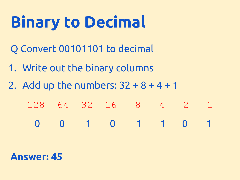# **Binary to Decimal**

- Q Convert 00101101 to decimal
- 1. Write out the binary columns
- 2. Add up the numbers:  $32 + 8 + 4 + 1$ 
	- 128 64 32 16 8 4 2 1
		- 00 1 0 1 1 0 1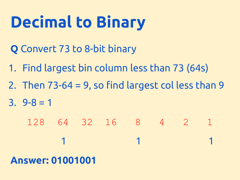# **Decimal to Binary**

- **Q** Convert 73 to 8-bit binary
- 1. Find largest bin column less than 73 (64s)
- 2. Then  $73-64 = 9$ , so find largest colless than 9
- $3.9 8 = 1$ 
	- 128 64 32 16 8 4 2 1 1 1 1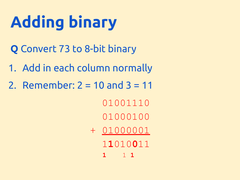# **Adding binary**

- **Q** Convert 73 to 8-bit binary
- 1. Add in each column normally
- 2. Remember:  $2 = 10$  and  $3 = 11$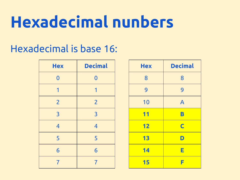# **Hexadecimal nunbers**

## Hexadecimal is base 16:

| <b>Hex</b>     | <b>Decimal</b> | <b>Hex</b> | <b>Decimal</b> |
|----------------|----------------|------------|----------------|
| $\Omega$       | $\Omega$       | 8          | 8              |
| 1              |                | 9          | 9              |
| $\overline{2}$ | $\overline{2}$ | 10         | $\mathsf{A}$   |
| $\overline{3}$ | $\overline{3}$ | 11         | B              |
| $\overline{4}$ | $\overline{4}$ | 12         | $\mathsf{C}$   |
| 5              | 5              | 13         | D              |
| 6              | 6              | 14         | Е              |
|                |                | 15         |                |

| <b>Hex</b> | <b>Decimal</b>          |  |  |
|------------|-------------------------|--|--|
| 8          | 8                       |  |  |
| 9          | 9                       |  |  |
| 10         | $\overline{A}$          |  |  |
| 11         | B                       |  |  |
| 12         | $\overline{\mathsf{C}}$ |  |  |
| 13         | D                       |  |  |
| 14         | E                       |  |  |
| 15         | F                       |  |  |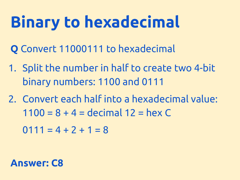# **Binary to hexadecimal**

**Q** Convert 11000111 to hexadecimal

- 1. Split the number in half to create two 4-bit binary numbers: 1100 and 0111
- 2. Convert each half into a hexadecimal value:  $1100 = 8 + 4 =$  decimal  $12 =$  hex C

 $0111 = 4 + 2 + 1 = 8$ 

#### **Answer: C8**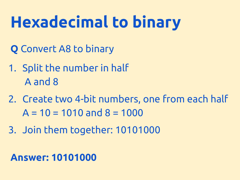# **Hexadecimal to binary**

- **Q** Convert A8 to binary
- 1. Split the number in half A and 8
- 2. Create two 4-bit numbers, one from each half  $A = 10 = 1010$  and  $8 = 1000$
- 3. Join them together: 10101000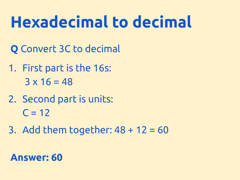# **Hexadecimal to decimal**

- **Q** Convert 3C to decimal
- 1. First part is the 16s:  $3 \times 16 = 48$
- 2. Second part is units:  $C = 12$
- 3. Add them together:  $48 + 12 = 60$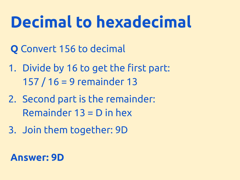# **Decimal to hexadecimal**

- **Q** Convert 156 to decimal
- 1. Divide by 16 to get the first part: 157 / 16 = 9 remainder 13
- 2. Second part is the remainder: Remainder 13 = D in hex
- 3. Join them together: 9D

### **Answer: 9D**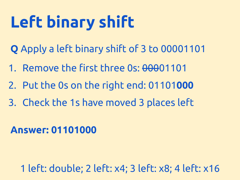# **Left binary shift**

- **Q** Apply a left binary shift of 3 to 00001101
- 1. Remove the first three 0s: 00001101
- 2. Put the 0s on the right end: 01101**000**
- 3. Check the 1s have moved 3 places left

### **Answer: 01101000**

1 left: double; 2 left: x4; 3 left: x8; 4 left: x16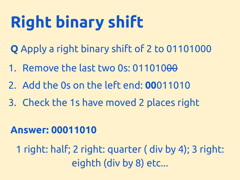# **Right binary shift**

- **Q** Apply a right binary shift of 2 to 01101000
- 1. Remove the last two 0s: 011010<del>00</del>
- 2. Add the 0s on the left end: **00**011010
- 3. Check the 1s have moved 2 places right

### **Answer: 00011010**

1 right: half; 2 right: quarter ( div by 4); 3 right: eighth (div by 8) etc...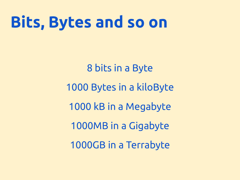## **Bits, Bytes and so on**

8 bits in a Byte 1000 Bytes in a kiloByte 1000 kB in a Megabyte 1000MB in a Gigabyte 1000GB in a Terrabyte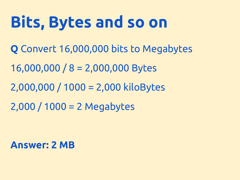# **Bits, Bytes and so on**

- **Q** Convert 16,000,000 bits to Megabytes
- 16,000,000 / 8 = 2,000,000 Bytes
- 2,000,000 / 1000 = 2,000 kiloBytes
- 2,000 / 1000 = 2 Megabytes

#### **Answer: 2 MB**